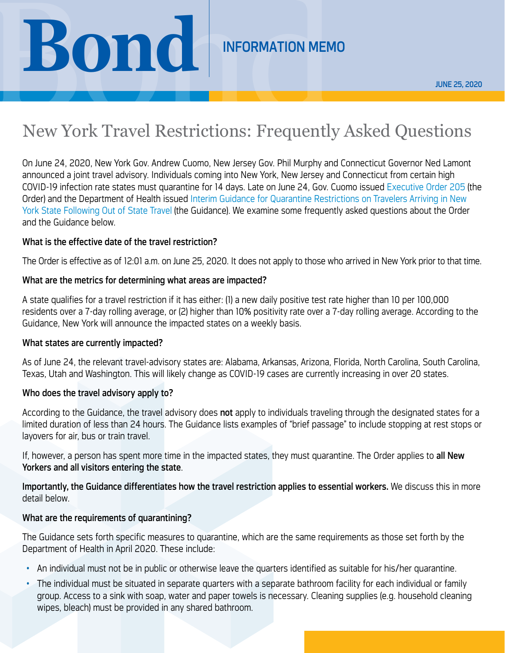# **BOND** INFORMATION MEMO

## New York Travel Restrictions: Frequently Asked Questions

On June 24, 2020, New York Gov. Andrew Cuomo, New Jersey Gov. Phil Murphy and Connecticut Governor Ned Lamont announced a joint travel advisory. Individuals coming into New York, New Jersey and Connecticut from certain high COVID-19 infection rate states must quarantine for 14 days. Late on June 24, Gov. Cuomo issued [Executive Order 205](https://www.governor.ny.gov/news/no-205-quarantine-restrictions-travelers-arriving-new-york) (the Order) and the Department of Health issued [Interim Guidance for Quarantine Restrictions on Travelers Arriving in New](https://coronavirus.health.ny.gov/system/files/documents/2020/06/interimguidance_traveladvisory.pdf)  [York State Following Out of State Travel](https://coronavirus.health.ny.gov/system/files/documents/2020/06/interimguidance_traveladvisory.pdf) (the Guidance). We examine some frequently asked questions about the Order and the Guidance below.

#### What is the effective date of the travel restriction?

The Order is effective as of 12:01 a.m. on June 25, 2020. It does not apply to those who arrived in New York prior to that time.

#### What are the metrics for determining what areas are impacted?

A state qualifies for a travel restriction if it has either: (1) a new daily positive test rate higher than 10 per 100,000 residents over a 7-day rolling average, or (2) higher than 10% positivity rate over a 7-day rolling average. According to the Guidance, New York will announce the impacted states on a weekly basis.

#### What states are currently impacted?

As of June 24, the relevant travel-advisory states are: Alabama, Arkansas, Arizona, Florida, North Carolina, South Carolina, Texas, Utah and Washington. This will likely change as COVID-19 cases are currently increasing in over 20 states.

#### Who does the travel advisory apply to?

According to the Guidance, the travel advisory does not apply to individuals traveling through the designated states for a limited duration of less than 24 hours. The Guidance lists examples of "brief passage" to include stopping at rest stops or layovers for air, bus or train travel.

If, however, a person has spent more time in the impacted states, they must quarantine. The Order applies to all New Yorkers and all visitors entering the state.

Importantly, the Guidance differentiates how the travel restriction applies to essential workers. We discuss this in more detail below.

#### What are the requirements of quarantining?

The Guidance sets forth specific measures to quarantine, which are the same requirements as those set forth by the Department of Health in April 2020. These include:

- An individual must not be in public or otherwise leave the quarters identified as suitable for his/her quarantine.
- The individual must be situated in separate quarters with a separate bathroom facility for each individual or family group. Access to a sink with soap, water and paper towels is necessary. Cleaning supplies (e.g. household cleaning wipes, bleach) must be provided in any shared bathroom.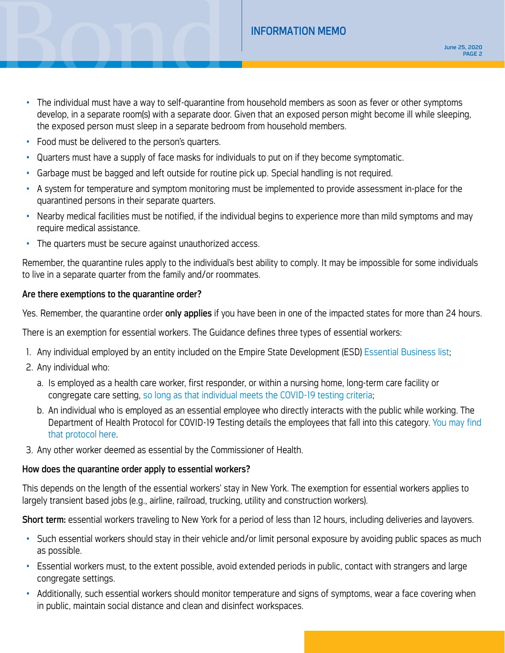### INFORMATION MEMO

- INFORMATION MEMO • The individual must have a way to self-quarantine from household members as soon as fever or other symptoms develop, in a separate room(s) with a separate door. Given that an exposed person might become ill while sleeping, the exposed person must sleep in a separate bedroom from household members.
	- Food must be delivered to the person's quarters.
	- Quarters must have a supply of face masks for individuals to put on if they become symptomatic.
	- Garbage must be bagged and left outside for routine pick up. Special handling is not required.
	- A system for temperature and symptom monitoring must be implemented to provide assessment in-place for the quarantined persons in their separate quarters.
	- Nearby medical facilities must be notified, if the individual begins to experience more than mild symptoms and may require medical assistance.
	- The quarters must be secure against unauthorized access.

Remember, the quarantine rules apply to the individual's best ability to comply. It may be impossible for some individuals to live in a separate quarter from the family and/or roommates.

#### Are there exemptions to the quarantine order?

Yes. Remember, the quarantine order only applies if you have been in one of the impacted states for more than 24 hours.

There is an exemption for essential workers. The Guidance defines three types of essential workers:

- 1. Any individual employed by an entity included on the Empire State Development (ESD) [Essential Business list;](https://esd.ny.gov/guidance-executive-order-2026)
- 2. Any individual who:
	- a. Is employed as a health care worker, first responder, or within a nursing home, long-term care facility or congregate care setting, [so long as that individual meets the COVID-19 testing criteria;](https://coronavirus.health.ny.gov/system/files/documents/2020/06/doh_covid19_revisedtestingprotocol_053120.pdf)
	- b. An individual who is employed as an essential employee who directly interacts with the public while working. The Department of Health Protocol for COVID-19 Testing details the employees that fall into this category. You may find [that protocol here.](https://coronavirus.health.ny.gov/system/files/documents/2020/06/doh_covid19_revisedtestingprotocol_053120.pdf)
- 3. Any other worker deemed as essential by the Commissioner of Health.

#### How does the quarantine order apply to essential workers?

This depends on the length of the essential workers' stay in New York. The exemption for essential workers applies to largely transient based jobs (e.g., airline, railroad, trucking, utility and construction workers).

Short term: essential workers traveling to New York for a period of less than 12 hours, including deliveries and layovers.

- Such essential workers should stay in their vehicle and/or limit personal exposure by avoiding public spaces as much as possible.
- Essential workers must, to the extent possible, avoid extended periods in public, contact with strangers and large congregate settings.
- Additionally, such essential workers should monitor temperature and signs of symptoms, wear a face covering when in public, maintain social distance and clean and disinfect workspaces.